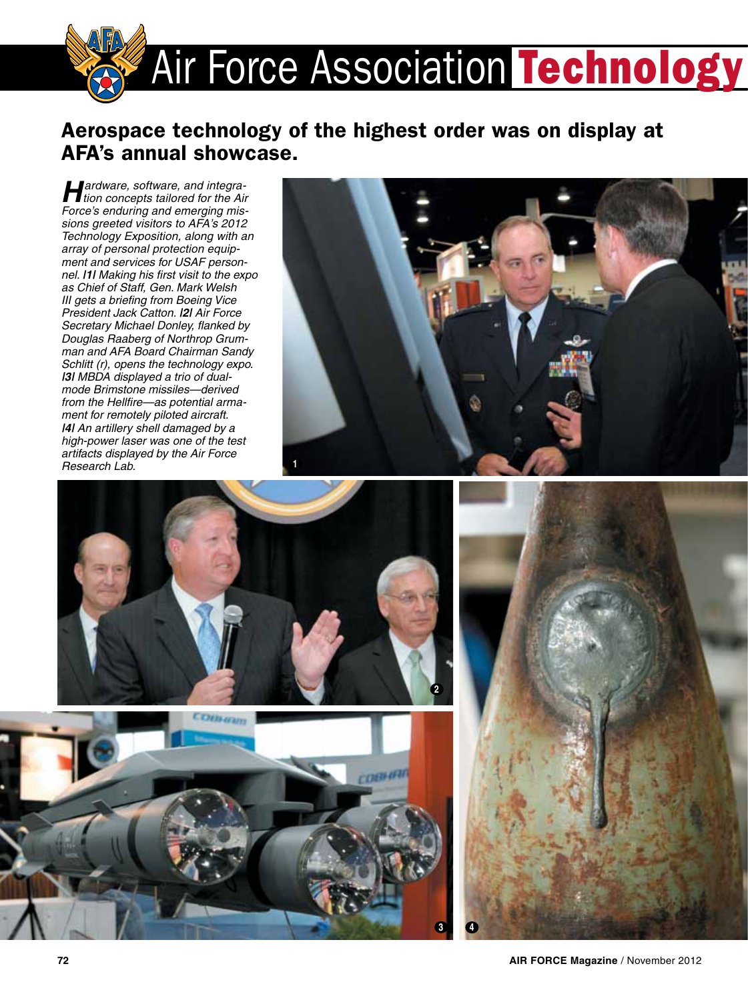

## Aerospace technology of the highest order was on display at AFA's annual showcase.

*Hardware, software, and integra-tion concepts tailored for the Air Force's enduring and emerging missions greeted visitors to AFA's 2012 Technology Exposition, along with an array of personal protection equipment and services for USAF personnel. |1| Making his first visit to the expo as Chief of Staff, Gen. Mark Welsh III gets a briefing from Boeing Vice President Jack Catton. |2| Air Force Secretary Michael Donley, flanked by Douglas Raaberg of Northrop Grumman and AFA Board Chairman Sandy Schlitt (r), opens the technology expo. |3| MBDA displayed a trio of dualmode Brimstone missiles—derived from the Hellfire—as potential armament for remotely piloted aircraft. |4| An artillery shell damaged by a high-power laser was one of the test artifacts displayed by the Air Force Research Lab.*







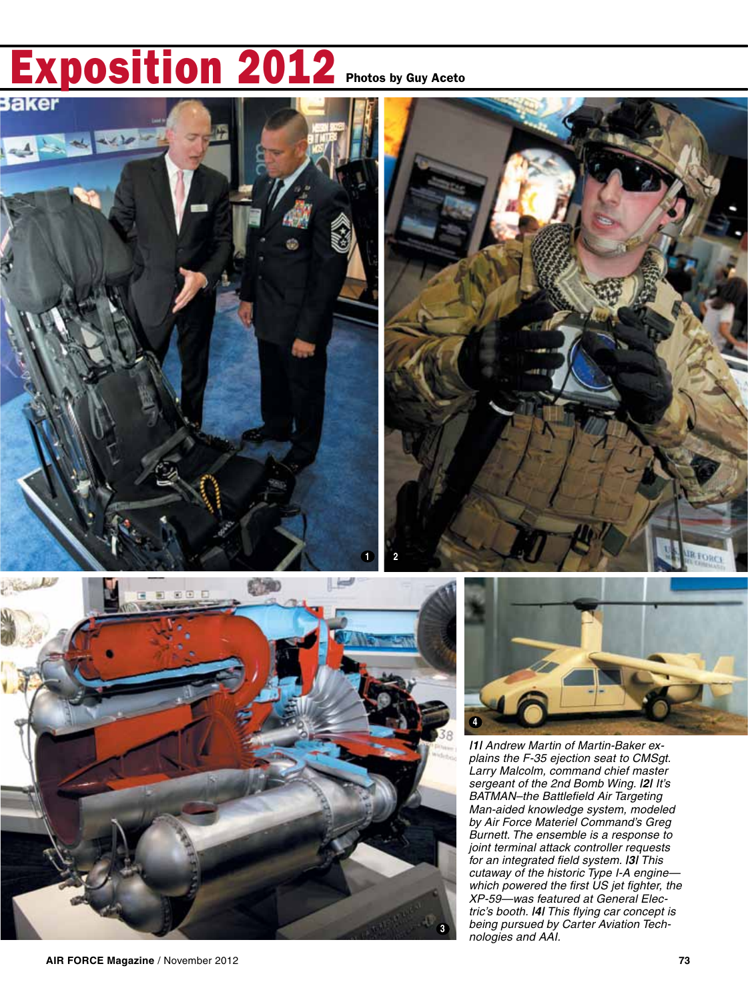## **Exposition 2012** Photos by Guy Aceto









*|1| Andrew Martin of Martin-Baker explains the F-35 ejection seat to CMSgt. Larry Malcolm, command chief master sergeant of the 2nd Bomb Wing. |2| It's BATMAN–the Battlefield Air Targeting Man-aided knowledge system, modeled by Air Force Materiel Command's Greg Burnett. The ensemble is a response to joint terminal attack controller requests for an integrated field system. |3| This cutaway of the historic Type I-A engine which powered the first US jet fighter, the XP-59—was featured at General Electric's booth. |4| This flying car concept is being pursued by Carter Aviation Technologies and AAI.*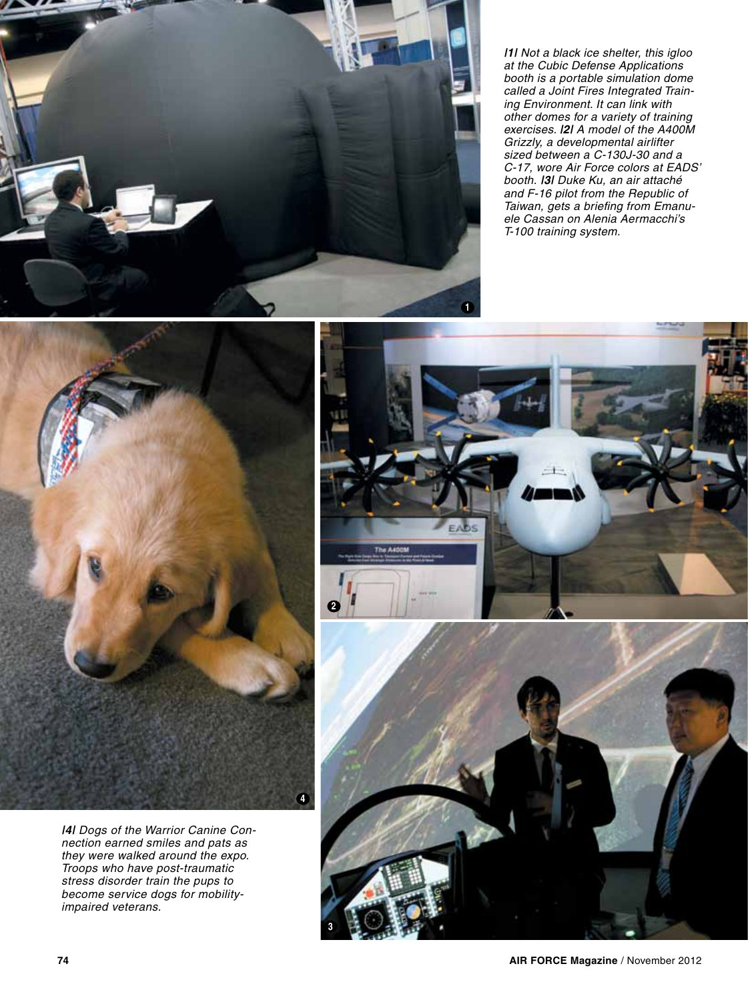*|1| Not a black ice shelter, this igloo at the Cubic Defense Applications booth is a portable simulation dome called a Joint Fires Integrated Training Environment. It can link with other domes for a variety of training exercises. |2| A model of the A400M Grizzly, a developmental airlifter sized between a C-130J-30 and a C-17, wore Air Force colors at EADS' booth. |3| Duke Ku, an air attaché and F-16 pilot from the Republic of Taiwan, gets a briefing from Emanuele Cassan on Alenia Aermacchi's T-100 training system.* 

**1**



*|4| Dogs of the Warrior Canine Connection earned smiles and pats as they were walked around the expo. Troops who have post-traumatic stress disorder train the pups to become service dogs for mobilityimpaired veterans.*

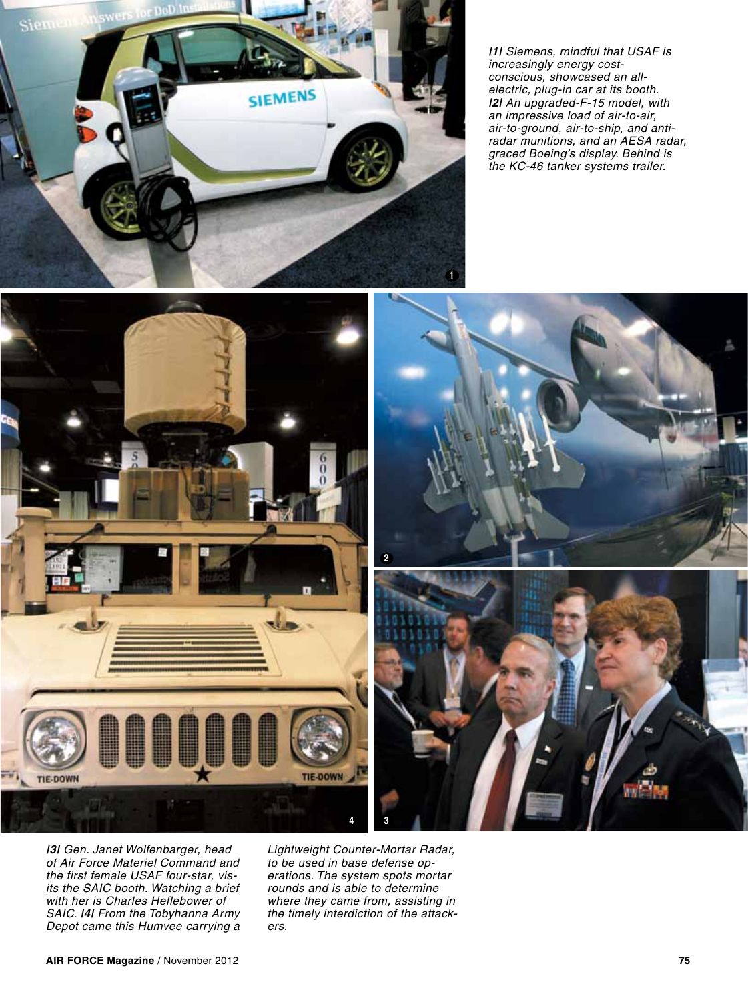

*|1| Siemens, mindful that USAF is increasingly energy costconscious, showcased an allelectric, plug-in car at its booth. |2| An upgraded-F-15 model, with an impressive load of air-to-air, air-to-ground, air-to-ship, and antiradar munitions, and an AESA radar, graced Boeing's display. Behind is the KC-46 tanker systems trailer.* 



*|3| Gen. Janet Wolfenbarger, head of Air Force Materiel Command and the first female USAF four-star, visits the SAIC booth. Watching a brief with her is Charles Heflebower of SAIC. |4| From the Tobyhanna Army Depot came this Humvee carrying a* 

*Lightweight Counter-Mortar Radar, to be used in base defense operations. The system spots mortar rounds and is able to determine where they came from, assisting in the timely interdiction of the attackers.*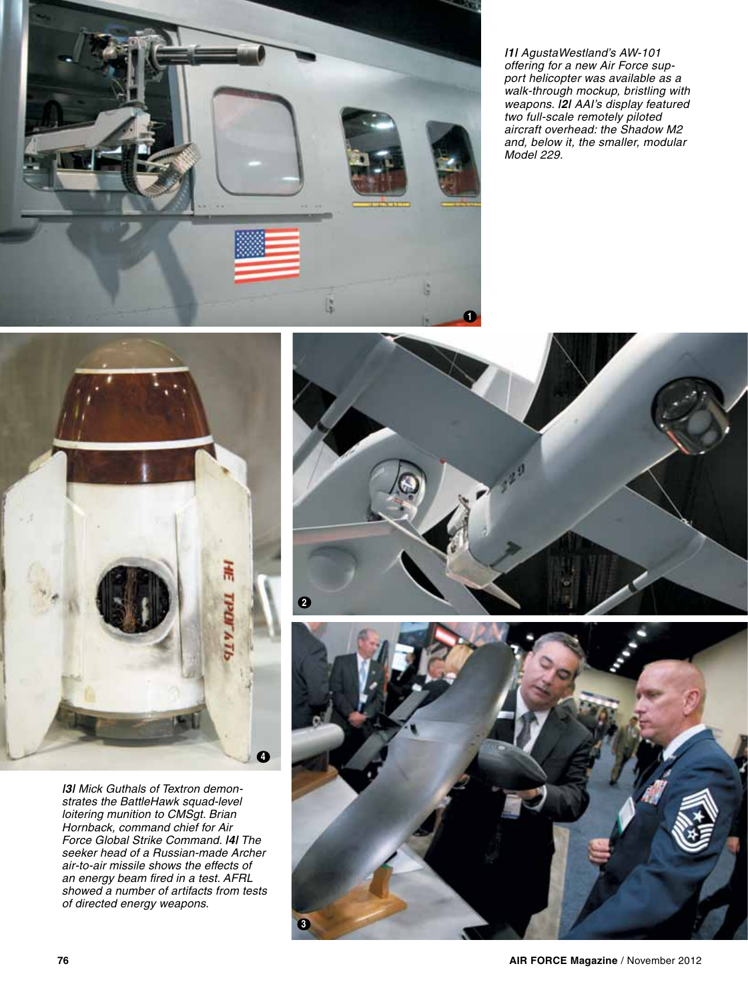

*|1| AgustaWestland's AW-101 offering for a new Air Force support helicopter was available as a walk-through mockup, bristling with weapons. |2| AAI's display featured two full-scale remotely piloted aircraft overhead: the Shadow M2 and, below it, the smaller, modular Model 229.* 



*|3| Mick Guthals of Textron demonstrates the BattleHawk squad-level loitering munition to CMSgt. Brian Hornback, command chief for Air Force Global Strike Command. |4| The seeker head of a Russian-made Archer air-to-air missile shows the effects of an energy beam fired in a test. AFRL showed a number of artifacts from tests of directed energy weapons.*